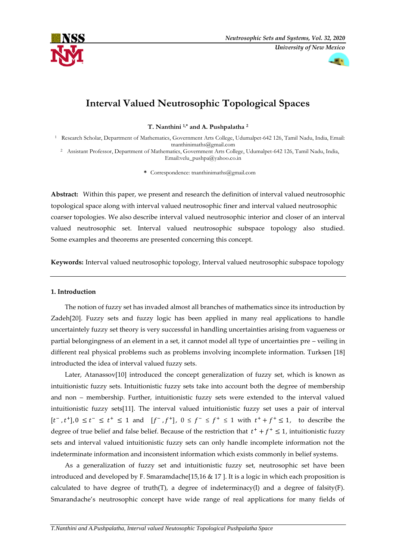



# **Interval Valued Neutrosophic Topological Spaces**

**T. Nanthini 1,\* and A. Pushpalatha <sup>2</sup>**

<sup>1</sup> Research Scholar, Department of Mathematics, Government Arts College, Udumalpet-642 126, Tamil Nadu, India, Email: tnanthinimaths@gmail.com

<sup>2</sup> Assistant Professor, Department of Mathematics, Government Arts College, Udumalpet-642 126, Tamil Nadu, India, Email:velu\_pushpa@yahoo.co.in

**\*** Correspondence: tnanthinimaths@gmail.com

**Abstract:** Within this paper, we present and research the definition of interval valued neutrosophic topological space along with interval valued neutrosophic finer and interval valued neutrosophic coarser topologies. We also describe interval valued neutrosophic interior and closer of an interval valued neutrosophic set. Interval valued neutrosophic subspace topology also studied. Some examples and theorems are presented concerning this concept.

**Keywords:** Interval valued neutrosophic topology, Interval valued neutrosophic subspace topology

## **1. Introduction**

The notion of fuzzy set has invaded almost all branches of mathematics since its introduction by Zadeh[20]. Fuzzy sets and fuzzy logic has been applied in many real applications to handle uncertaintely fuzzy set theory is very successful in handling uncertainties arising from vagueness or partial belongingness of an element in a set, it cannot model all type of uncertainties pre – veiling in different real physical problems such as problems involving incomplete information. Turksen [18] introducted the idea of interval valued fuzzy sets.

Later, Atanassov[10] introduced the concept generalization of fuzzy set, which is known as intuitionistic fuzzy sets. Intuitionistic fuzzy sets take into account both the degree of membership and non – membership. Further, intuitionistic fuzzy sets were extended to the interval valued intuitionistic fuzzy sets[11]. The interval valued intuitionistic fuzzy set uses a pair of interval  $[t^-, t^+]$ ,  $0 \le t^- \le t^+ \le 1$  and  $[f^-, f^+]$ ,  $0 \le f^- \le f^+ \le 1$  with  $t^+ + f^+ \le 1$ , to describe the degree of true belief and false belief. Because of the restriction that  $t^+ + f^+ \leq 1$ , intuitionistic fuzzy sets and interval valued intuitionistic fuzzy sets can only handle incomplete information not the indeterminate information and inconsistent information which exists commonly in belief systems.

As a generalization of fuzzy set and intuitionistic fuzzy set, neutrosophic set have been introduced and developed by F. Smaramdache[15,16 & 17 ]. It is a logic in which each proposition is calculated to have degree of truth(T), a degree of indeterminacy(I) and a degree of falsity(F). Smarandache's neutrosophic concept have wide range of real applications for many fields of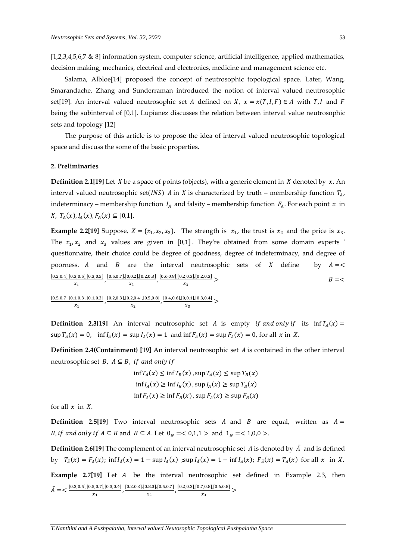[1,2,3,4,5,6,7 & 8] information system, computer science, artificial intelligence, applied mathematics, decision making, mechanics, electrical and electronics, medicine and management science etc.

Salama, Albloe[14] proposed the concept of neutrosophic topological space. Later, Wang, Smarandache, Zhang and Sunderraman introduced the notion of interval valued neutrosophic set[19]. An interval valued neutrosophic set A defined on X,  $x = x(T, I, F) \in A$  with T, I and F being the subinterval of [0,1]. Lupianez discusses the relation between interval value neutrosophic sets and topology [12]

The purpose of this article is to propose the idea of interval valued neutrosophic topological space and discuss the some of the basic properties.

## **2. Preliminaries**

**Definition 2.1[19]** Let *X* be a space of points (objects), with a generic element in *X* denoted by *x*. An interval valued neutrosophic set(*INS*) *A* in *X* is characterized by truth – membership function  $T_A$ , indeterminacy – membership function  $I_A$  and falsity – membership function  $F_A$ . For each point  $x$  in  $X, T_A(x), I_A(x), F_A(x) \subseteq [0,1].$ 

**Example 2.2[19]** Suppose,  $X = \{x_1, x_2, x_3\}$ . The strength is  $x_1$ , the trust is  $x_2$  and the price is  $x_3$ . The  $x_1, x_2$  and  $x_3$  values are given in [0,1]. They're obtained from some domain experts ' questionnaire, their choice could be degree of goodness, degree of indeterminacy, and degree of poorness. A and  $B$  are the interval neutrosophic sets of  $X$  define by  $A = \langle$  $[0.2, 0.4]$ , $[0.3, 0.5]$ , $[0.3, 0.5]$  $\frac{3,0.5],[0.3,0.5]}{x_1}$ ,  $\frac{[0.5,0.7],[0,0.2],[0.2,0.3]}{x_2}$  $\frac{[0.2],[0.2,0.3]}{x_2}$ ,  $\frac{[0.6,0.8],[0.2,0.3],[0.2,0.3]}{x_3}$  $x_3$  $B = <$  $[0.5, 0.7]$ , $[0.1, 0.3]$ , $[0.1, 0.3]$  $\frac{1,0.3],[0.1,0.3]}{x_1}$ ,  $\frac{[0.2,0.3],[0.2,0.4],[0.5,0.8]}{x_2}$  $\frac{2,0.4],[0.5,0.8]}{x_2}$ ,  $\frac{[0.4,0.6],[0,0.1],[0.3,0.4]}{x_3}$  $\frac{1}{x_3}$  >

**Definition 2.3[19]** An interval neutrosophic set A is empty *if and only if* its  $\inf T_A(x) =$  $\sup T_A(x) = 0$ ,  $\inf I_A(x) = \sup I_A(x) = 1$  and  $\inf F_A(x) = \sup F_A(x) = 0$ , for all x in X.

**Definition 2.4(Containment)** [19] An interval neutrosophic set *A* is contained in the other interval neutrosophic set *B*,  $A \subseteq B$ , *if and only if* 

$$
\inf T_A(x) \le \inf T_B(x), \sup T_A(x) \le \sup T_B(x)
$$
  

$$
\inf I_A(x) \ge \inf I_B(x), \sup I_A(x) \ge \sup T_B(x)
$$
  

$$
\inf F_A(x) \ge \inf F_B(x), \sup F_A(x) \ge \sup F_B(x)
$$

for all  $x$  in  $X$ .

**Definition 2.5[19]** Two interval neutrosophic sets A and B are equal, written as  $A =$ *B*, *if* and only *if*  $A \subseteq B$  and  $B \subseteq A$ . Let  $0_N = 0.1, 1 >$  and  $1_N = 1, 0, 0 >$ .

**Definition 2.6[19]** The complement of an interval neutrosophic set A is denoted by  $\bar{A}$  and is defined by  $T_{\bar{A}}(x) = F_A(x)$ ;  $\inf I_{\bar{A}}(x) = 1 - \sup I_A(x)$ ;  $\sup I_{\bar{A}}(x) = 1 - \inf I_A(x)$ ;  $F_{\bar{A}}(x) = T_A(x)$  for all x in X. **Example 2.7[19]** Let *A* be the interval neutrosophic set defined in Example 2.3, then  $\bar{A} = \langle \frac{[0.3, 0.5], [0.5, 0.7], [0.3, 0.4]}{[0.3, 0.4]} \rangle$  $\frac{5,0.7],[0.3,0.4]}{x_1}$ ,  $\frac{[0.2,0.3],[0.8,0],[0.5,0.7]}{x_2}$  $\frac{[0.8,0],[0.5,0.7]}{x_2}$ ,  $\frac{[0.2,0.3],[0.7,0.8],[0.6,0.8]}{x_3}$  $\frac{x_3}{x_3}$  >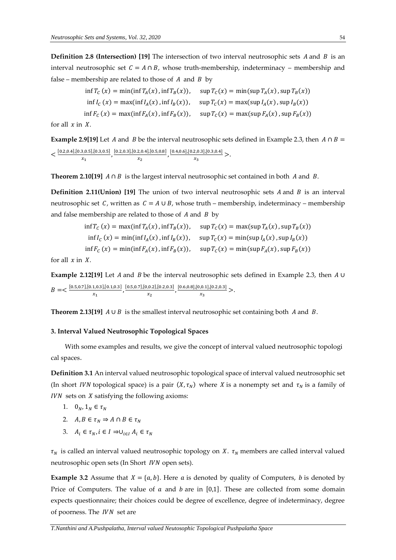**Definition 2.8 (Intersection) [19] The intersection of two interval neutrosophic sets**  $A$  **and**  $B$  **is an** interval neutrosophic set  $C = A \cap B$ , whose truth-membership, indeterminacy – membership and false – membership are related to those of  $A$  and  $B$  by

$$
\inf T_C(x) = \min(\inf T_A(x), \inf T_B(x)), \quad \sup T_C(x) = \min(\sup T_A(x), \sup T_B(x))
$$
  

$$
\inf I_C(x) = \max(\inf I_A(x), \inf I_B(x)), \quad \sup T_C(x) = \max(\sup I_A(x), \sup I_B(x))
$$
  

$$
\inf F_C(x) = \max(\inf F_A(x), \inf F_B(x)), \quad \sup T_C(x) = \max(\sup F_A(x), \sup F_B(x))
$$

for all  $x$  in  $X$ .

**Example 2.9[19]** Let *A* and *B* be the interval neutrosophic sets defined in Example 2.3, then  $A \cap B =$  $\leq \frac{[0.2, 0.4], [0.3, 0.5], [0.3, 0.5]}{[0.4, 0.5], [0.3, 0.5]}$  $\frac{1}{x_1}$ ,  $\frac{[0.2, 0.3], [0.2, 0.4], [0.5, 0.8]}{x_2}$  $\frac{2,0.4],[0.5,0.8]}{x_2}$ ,  $\frac{[0.4,0.6],[0.2,0.3],[0.3,0.4]}{x_3}$  $\frac{2,0.3 \int (0.3,0.4)}{x_3}$  >.

**Theorem 2.10[19]**  $A \cap B$  is the largest interval neutrosophic set contained in both  $A$  and  $B$ .

**Definition 2.11(Union) [19]** The union of two interval neutrosophic sets  $A$  and  $B$  is an interval neutrosophic set C, written as  $C = A \cup B$ , whose truth – membership, indeterminacy – membership and false membership are related to those of  $A$  and  $B$  by

$$
\inf T_C(x) = \max(\inf T_A(x), \inf T_B(x)), \quad \sup T_C(x) = \max(\sup T_A(x), \sup T_B(x))
$$
  

$$
\inf I_C(x) = \min(\inf I_A(x), \inf I_B(x)), \quad \sup T_C(x) = \min(\sup I_A(x), \sup I_B(x))
$$
  

$$
\inf F_C(x) = \min(\inf F_A(x), \inf F_B(x)), \quad \sup T_C(x) = \min(\sup F_A(x), \sup F_B(x))
$$

for all  $x$  in  $X$ .

**Example 2.12[19]** Let *A* and *B* be the interval neutrosophic sets defined in Example 2.3, then *A* ∪  $B = \frac{[0.5, 0.7], [0.1, 0.3], [0.1, 0.3]}{[0.1, 0.3]}$  $\frac{1,0.3],[0.1,0.3]}{x_1}$ ,  $\frac{[0.5,0.7],[0,0.2],[0.2,0.3]}{x_2}$  $\frac{[0.2],[0.2,0.3]}{x_2}$ ,  $\frac{[0.6,0.8],[0,0.1],[0.2,0.3]}{x_3}$  $\frac{1}{x_3}$  >.

**Theorem 2.13[19]**  $A \cup B$  is the smallest interval neutrosophic set containing both  $A$  and  $B$ .

### **3. Interval Valued Neutrosophic Topological Spaces**

With some examples and results, we give the concept of interval valued neutrosophic topologi cal spaces.

**Definition 3.1** An interval valued neutrosophic topological space of interval valued neutrosophic set (In short *IVN* topological space) is a pair  $(X, \tau_N)$  where X is a nonempty set and  $\tau_N$  is a family of  $IVN$  sets on  $X$  satisfying the following axioms:

- 1.  $0_N, 1_N \in \tau_N$
- 2.  $A, B \in \tau_N \Rightarrow A \cap B \in \tau_N$
- 3.  $A_i \in \tau_N, i \in I \Rightarrow \cup_{i \in I} A_i \in \tau_N$

 $\tau_N$  is called an interval valued neutrosophic topology on X.  $\tau_N$  members are called interval valued neutrosophic open sets (In Short *IVN* open sets).

**Example 3.2** Assume that  $X = \{a, b\}$ . Here *a* is denoted by quality of Computers, *b* is denoted by Price of Computers. The value of  $a$  and  $b$  are in [0,1]. These are collected from some domain expects questionnaire; their choices could be degree of excellence, degree of indeterminacy, degree of poorness. The  $IVN$  set are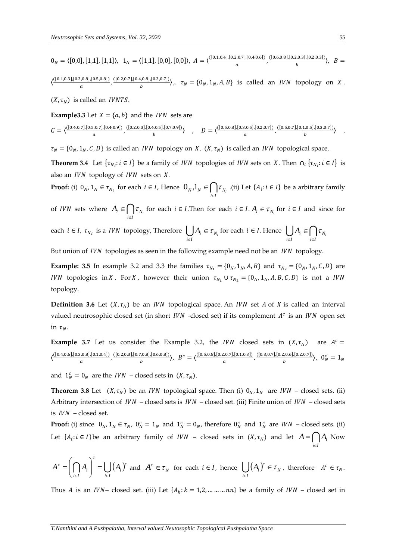$0_N = \langle [0,0], [1,1], [1,1] \rangle, 1_N = \langle [1,1], [0,0], [0,0] \rangle, A = \langle \frac{([0.1,0.4], [0.2,0.7], [0.4,0.6])}{a} \rangle$  $\frac{2,0.7],[0.4,0.6]}{a}$ ,  $\frac{([0.6,0.8],[0.2,0.3],[0.2,0.3])}{b}$  $\frac{b}{b}$   $B =$ 

 $\left\langle \frac{([0.1, 0.3], [0.3, 0.8], [0.5, 0.8])}{[0.3, 0.8], [0.5, 0.8]} \right\rangle$  $\frac{[0.8], [0.5, 0.8])}{a}$ ,  $\frac{([0.2, 0.7], [0.4, 0.8], [0.3, 0.7])}{b}$  $\langle v, v, o_{h} \rangle$ ,  $\langle v, \tau_N \rangle = \{0_N, 1_N, A, B\}$  is called an *IVN* topology on *X*.

 $(X, \tau_N)$  is called an *IVNTS*.

**Example3.3** Let  $X = \{a, b\}$  and the *IVN* sets are

 $C = \frac{\left([0.4, 0.7], [0.5, 0.7], [0.4, 0.9]\right)}{2}$  $\frac{[0.7],[0.4,0.9]}{a}$ ,  $\frac{([0.2,0.3],[0.4,0.5],[0.7,0.9])}{b}$  $\langle L, 0.5], [0.7, 0.9] \rangle$  ,  $D = \langle \frac{([0.5, 0.8], [0.3, 0.5], [0.2, 0.7])}{a} \rangle$  $\frac{1}{a}$ , (0.2,0.7])  $\frac{[(0.5, 0.7], [0.1, 0.5], [0.3, 0.7])}{b}$  $\langle b^{(0.5),(0.5,0.7)} \rangle$  .

 $\tau_N = \{0_N, 1_N, C, D\}$  is called an *IVN* topology on *X*. (*X*,  $\tau_N$ ) is called an *IVN* topological space.

**Theorem 3.4** Let  $\{\tau_{N_i}: i \in I\}$  be a family of *IVN* topologies of *IVN* sets on *X*. Then  $\cap_i \{\tau_{N_i}: i \in I\}$  is also an  $IVN$  topology of  $IVN$  sets on  $X$ .

**Proof:** (i)  $0_N, 1_N \in \tau_{N_i}$  for each  $i \in I$ , Hence  $0_N, 1_N \in \bigcap_{i \in I} \tau_{N_i}$  $0_{N}, 1_{N} \in [$  | $\tau_{N}$  (ii) Let { $A_{i}: i \in I$ } be a arbitrary family

of *IVN* sets where  $A_i \in \bigcap_{i \in I} \tau_{N_i}$  for each  $i \in I$ . Then for each  $i \in I$ .  $A_i \in \tau_{N_i}$  for  $i \in I$  and since for ∊

each 
$$
i \in I
$$
,  $\tau_{N_i}$  is a *IVN* topology, Therefore  $\bigcup_{i \in I} A_i \in \tau_{N_i}$  for each  $i \in I$ . Hence  $\bigcup_{i \in I} A_i \in \bigcap_{i \in I} \tau_{N_i}$ 

But union of *IVN* topologies as seen in the following example need not be an *IVN* topology.

**Example: 3.5** In example 3.2 and 3.3 the families  $\tau_{N_1} = \{0_N, 1_N, A, B\}$  and  $\tau_{N_2} = \{0_N, 1_N, C, D\}$  are *IVN* topologies in *X*. For *X*, however their union  $\tau_{N_1} \cup \tau_{N_2} = \{0_N, 1_N, A, B, C, D\}$  is not a *IVN* topology.

**Definition 3.6** Let  $(X, \tau_N)$  be an *IVN* topological space. An *IVN* set *A* of *X* is called an interval valued neutrosophic closed set (in short IVN -closed set) if its complement  $A<sup>c</sup>$  is an IVN open set in  $\tau_N$ .

**Example 3.7** Let us consider the Example 3.2, the IVN closed sets in  $(X, \tau_N)$  are  $A^c =$  $\left\langle \frac{([0.4, 0.6], [0.3, 0.8], [0.1, 0.4])}{[0.4, 0.6], [0.3, 0.8], [0.1, 0.4]} \right\rangle$  $\frac{[0.8], [0.1, 0.4])}{a}$ ,  $\frac{([0.2, 0.3], [0.7, 0.8], [0.6, 0.8])}{b}$  $\langle B^{(0.8),(0.6,0.8)} \rangle$ ,  $B^c = \langle \frac{([0.5,0.8],[0.2,0.7],[0.1,0.3])}{a}$  $\frac{[0.2,0.7],[0.1,0.3])}{a}$ ,  $\frac{([0.3,0.7],[0.2,0.6],[0.2,0.7])}{b}$  $\frac{\binom{2,0.6}{1,10.2,0.7}}{b}$ ,  $0_N^c = 1_N$ 

and  $1_K^c = 0_N$  are the *IVN* – closed sets in  $(X, \tau_N)$ .

**Theorem 3.8** Let  $(X, \tau_N)$  be an *IVN* topological space. Then (i)  $0_N$ ,  $1_N$  are *IVN* – closed sets. (ii) Arbitrary intersection of  $IVN -$  closed sets is  $IVN -$  closed set. (iii) Finite union of  $IVN -$  closed sets is  $IVN - closed set$ .

**Proof:** (i) since  $0_N$ ,  $1_N \in \tau_N$ ,  $0_N^c = 1_N$  and  $1_N^c = 0_N$ , therefore  $0_N^c$  and  $1_N^c$  are  $IVN$  – closed sets. (ii) Let  $\{A_i : i \in I\}$  be an arbitrary family of *IVN* – closed sets in  $(X, \tau_N)$  and let  $A = \bigcap A_i$  Now *i I* ∈

$$
A^c = \left(\bigcap_{i \in I} A_i\right)^c = \bigcup_{i \in I} \left(A_i\right)^c \text{ and } A^c \in \tau_N \text{ for each } i \in I, \text{ hence } \bigcup_{i \in I} \left(A_i\right)^c \in \tau_N, \text{ therefore } A^c \in \tau_N.
$$

Thus A is an IVN– closed set. (iii) Let  $\{A_k : k = 1, 2, \dots \dots \dots \dots \}$  be a family of IVN – closed set in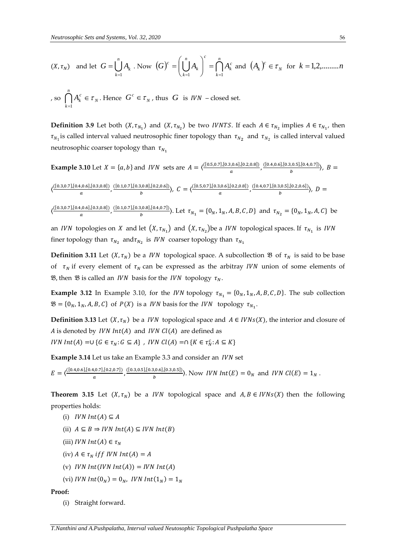$$
(X, \tau_N)
$$
 and let  $G = \bigcup_{k=1}^n A_k$ . Now  $(G)^c = \left(\bigcup_{k=1}^n A_k\right)^c = \bigcap_{k=1}^n A_k^c$  and  $(A_k)^c \in \tau_N$  for  $k = 1, 2, \dots, n$ 

, so 
$$
\bigcap_{k=1}^{n} A_k^c \in \tau_N
$$
. Hence  $G^c \in \tau_N$ , thus  $G$  is  $IVN$  – closed set.

**Definition 3.9** Let both  $(X, \tau_{N_1})$  and  $(X, \tau_{N_2})$  be two *IVNTS*. If each  $A \in \tau_{N_2}$  implies  $A \in \tau_{N_1}$ , then  $\tau_{N_1}$  is called interval valued neutrosophic finer topology than  $\tau_{N_2}$  and  $\tau_{N_2}$  is called interval valued neutrosophic coarser topology than  $\tau_{N_1}$ 

**Example 3.10** Let 
$$
X = \{a, b\}
$$
 and *IVN* sets are  $A = \langle \frac{([0.5, 0.7], [0.3, 0.6], [0.2, 0.8])}{a}, \frac{([0.4, 0.6], [0.3, 0.5], [0.4, 0.7])}{b} \rangle$ ,  $B = \langle \frac{([0.3, 0.7], [0.4, 0.6], [0.3, 0.8])}{a}, \frac{([0.1, 0.7], [0.3, 0.8], [0.2, 0.6])}{b} \rangle$ ,  $C = \langle \frac{([0.5, 0.7], [0.3, 0.6], [0.2, 0.8])}{a}, \frac{([0.4, 0.7], [0.3, 0.5], [0.2, 0.6])}{b} \rangle$ ,  $D = \langle \frac{([0.5, 0.7], [0.3, 0.6], [0.2, 0.8])}{b}, \frac{([0.4, 0.7], [0.3, 0.5], [0.2, 0.6])}{b} \rangle$ ,  $D = \langle \frac{([0.4, 0.7], [0.3, 0.6], [0.2, 0.6])}{b}, \frac{([0.4, 0.7], [0.3, 0.6], [0.2, 0.6])}{b} \rangle$ ,  $D = \langle \frac{([0.4, 0.7], [0.3, 0.6], [0.2, 0.6])}{b}, \frac{([0.4, 0.7], [0.3, 0.6], [0.2, 0.6])}{b} \rangle$ 

 $\boldsymbol{a}$ 

$$
\langle \frac{([0.3,0.7],[0.4,0.6],[0.3,0.8])}{a}, \frac{([0.1,0.7],[0.3,0.8],[0.4,0.7])}{b} \rangle. \text{ Let } \tau_{N_1} = \{0_N,1_N,A,B,C,D\} \text{ and } \tau_{N_2} = \{0_N,1_N,A,C\} \text{ be}
$$

an *IVN* topologies on *X* and let  $(X, \tau_{N_1})$  and  $(X, \tau_{N_2})$ be a *IVN* topological spaces. If  $\tau_{N_1}$  is *IVN* finer topology than  $\tau_{N_2}$  and $\tau_{N_2}$  is IVN coarser topology than  $\tau_{N_1}$ 

**Definition 3.11** Let  $(X, \tau_N)$  be a *IVN* topological space. A subcollection  $\mathfrak{B}$  of  $\tau_N$  is said to be base of  $\tau_N$  if every element of  $\tau_N$  can be expressed as the arbitray IVN union of some elements of **28**, then **28** is called an *IVN* basis for the *IVN* topology  $\tau_N$ .

**Example 3.12** In Example 3.10, for the *IVN* topology  $\tau_{N_1} = \{0_N, 1_N, A, B, C, D\}$ . The sub collection  $\mathfrak{B} = \{0_N, 1_N, A, B, C\}$  of  $P(X)$  is a *IVN* basis for the *IVN* topology  $\tau_{N_1}$ .

**Definition 3.13** Let  $(X, \tau_N)$  be a *IVN* topological space and  $A \in IVNs(X)$ , the interior and closure of A is denoted by  $IVN Int(A)$  and  $IVN Cl(A)$  are defined as *IVN*  $Int(A) = \cup \{G \in \tau_N : G \subseteq A\}$ , *IVN*  $Cl(A) = \cap \{K \in \tau_N^c : A \subseteq K\}$ 

**Example 3.14** Let us take an Example 3.3 and consider an *IVN* set

 $E = \frac{\left([0.4, 0.6], [0.4, 0.7], [0.2, 0.7]\right)}{2}$  $\frac{[0.7],[0.2,0.7])}{a}$ ,  $\frac{([0.3,0.5],[0.3,0.6],[0.3,0.5])}{b}$  $\binom{[0,0,0,0,1]}{b}$ . Now *IVN Int*(*E*) = 0<sub>*N*</sub> and *IVN Cl*(*E*) = 1<sub>*N*</sub>.

**Theorem 3.15** Let  $(X, \tau_N)$  be a *IVN* topological space and  $A, B \in IVNs(X)$  then the following properties holds:

(i)  $IVN Int(A) \subseteq A$ 

 $\boldsymbol{a}$ 

- (ii)  $A \subseteq B \Rightarrow IVN Int(A) \subseteq IVN Int(B)$
- (iii) *IVN*  $Int(A) \in \tau_N$
- (iv)  $A \in \tau_N$  if f IVN Int(A) = A
- (v) *IVN*  $Int(IVN Int(A)) = IVN Int(A)$
- (vi) IVN  $Int(0_N) = 0_N$ , IVN  $Int(1_N) = 1_N$

#### **Proof:**

(i) Straight forward.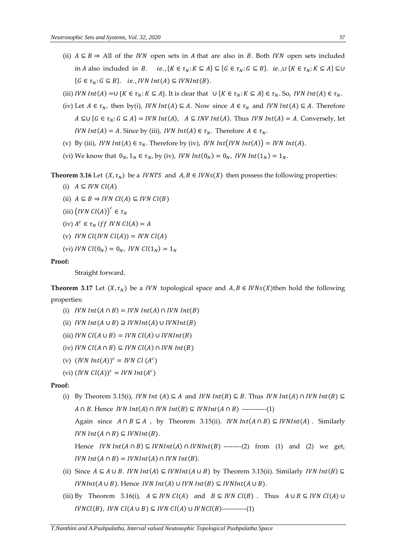- (ii)  $A \subseteq B \Rightarrow$  All of the *IVN* open sets in *A* that are also in *B*. Both *IVN* open sets included in *A* also included in *B*. *ie.*,  $\{K \in \tau_N : K \subseteq A\} \subseteq \{G \in \tau_N : G \subseteq B\}$ . *ie.*,  $\cup \{K \in \tau_N : K \subseteq A\} \subseteq \cup$  ${G \in \tau_N : G \subseteq B}.$  ie., IVN Int(A)  $\subseteq$  IVNInt(B).
- (iii) *IVN*  $Int(A) = \cup \{K \in \tau_N : K \subseteq A\}$ . It is clear that  $\cup \{K \in \tau_N : K \subseteq A\} \in \tau_N$ . So, *IVN*  $Int(A) \in \tau_N$ .
- (iv) Let  $A \in \tau_N$ , then by(i), *IVN*  $Int(A) \subseteq A$ . Now since  $A \in \tau_N$  and *IVN*  $Int(A) \subseteq A$ . Therefore  $A \subseteq U$  { $G \in \tau_N$ :  $G \subseteq A$ } = *IVN Int*(*A*),  $A \subseteq INV$  *Int*(*A*). Thus *IVN Int*(*A*) = *A*. Conversely, let *IVN*  $Int(A) = A$ . Since by (iii), *IVN*  $Int(A) \in \tau_N$ . Therefore  $A \in \tau_N$ .
- (v) By (iii), *IVN*  $Int(A) \in \tau_N$ . Therefore by (iv), *IVN*  $Int(IVN Int(A)) = IVN Int(A)$ .
- (vi) We know that  $0_N$ ,  $1_N \in \tau_N$ , by (iv), *IVN*  $Int(0_N) = 0_N$ , *IVN*  $Int(1_N) = 1_N$ .

**Theorem 3.16** Let  $(X, \tau_N)$  be a *IVNTS* and  $A, B \in IVNs(X)$  then possess the following properties:

- (i)  $A \subseteq IVN$   $Cl(A)$
- (ii)  $A \subseteq B \Rightarrow IVN$   $Cl(A) \subseteq IVN$   $Cl(B)$
- (iii)  $\left( IVN\ Cl(A) \right)^c \in \tau_N$
- (iv)  $A^c \in \tau_N$  if f IVN  $Cl(A) = A$
- (v) *IVN Cl(IVN Cl(A))* = *IVN Cl(A)*
- (vi) *IVN*  $Cl(0_N) = 0_N$ , *IVN*  $Cl(1_N) = 1_N$

## **Proof:**

Straight forward.

**Theorem 3.17** Let  $(X, \tau_N)$  be a *IVN* topological space and  $A, B \in IVNs(X)$  then hold the following properties:

- (i)  $IVN Int(A \cap B) = IVN Int(A) \cap IVN Int(B)$
- (ii)  $IVN Int(A \cup B) \supseteq IVNInt(A) \cup IVNInt(B)$
- (iii)  $IVN$   $Cl(A \cup B) = IVN$   $Cl(A) \cup IVNInt(B)$
- (iv) *IVN*  $Cl(A \cap B) \subseteq$  *IVN*  $Cl(A) \cap$  *IVN*  $Int(B)$
- (v)  $(IVN Int(A))^c = IVN Cl(A^c)$
- (vi)  $(IVN \mathit{Cl}(A))^c = IVN \mathit{Int}(A^c)$

# **Proof:**

(i) By Theorem 3.15(i), *IVN Int* (*A*)  $\subseteq$  *A* and *IVN Int*(*B*)  $\subseteq$  *B*. Thus *IVN Int*(*A*)  $\cap$  *IVN Int*(*B*)  $\subseteq$  $A \cap B$ . Hence *IVN*  $Int(A) \cap IVN Int(B) \subseteq IVNInt(A \cap B)$  -----------(1)

Again since  $A \cap B \subseteq A$ , by Theorem 3.15(ii). *IVN Int*( $A \cap B$ )  $\subseteq$  *IVNInt*( $A$ ). Similarly  $IVN Int(A \cap B) \subseteq IVNInt(B).$ 

Hence  $IVNInt(A \cap B) \subseteq IVNInt(A) \cap IVNInt(B)$  -------(2) from (1) and (2) we get,  $IVN Int(A \cap B) = IVNInt(A) \cap IVN Int(B).$ 

- (ii) Since  $A \subseteq A \cup B$ . *IVN*  $Int(A) \subseteq IVMInt(A \cup B)$  by Theorem 3.15(ii). Similarly *IVN*  $Int(B) \subseteq$  $IVNInt(A \cup B)$ . Hence  $IVNInt(A) \cup IVNInt(B) \subseteq IVNInt(A \cup B)$ .
- (iii) By Theorem 3.16(i),  $A \subseteq IVN$   $Cl(A)$  and  $B \subseteq IVN$   $Cl(B)$ . Thus  $A \cup B \subseteq IVN$   $Cl(A) \cup$  $IVNCI(B)$ ,  $IVN Cl(A \cup B) \subseteq IVN Cl(A) \cup IVNCI(B)$ ----------(1)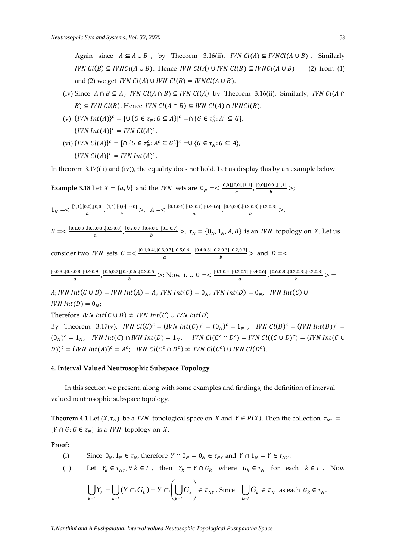Again since  $A \subseteq A \cup B$ , by Theorem 3.16(ii). *IVN*  $Cl(A) \subseteq IVNCl(A \cup B)$ . Similarly *IVN Cl(B)*  $\subseteq$  *IVNCl(A ∪ B)*. Hence *IVN Cl(A) ∪ IVN Cl(B)*  $\subseteq$  *IVNCl(A ∪ B)*------(2) from (1) and (2) we get *IVN Cl(A)* ∪ *IVN Cl(B)* = *IVNCl(A* ∪ *B*).

- (iv) Since  $A \cap B \subseteq A$ , *IVN Cl*( $A \cap B$ )  $\subseteq$  *IVN Cl*( $A$ ) by Theorem 3.16(ii), Similarly, *IVN Cl*( $A \cap B$ )  $B$ )  $\subseteq$  *IVN Cl(B)*. Hence *IVN Cl(A*  $\cap$  *B)*  $\subseteq$  *IVN Cl(A)*  $\cap$  *IVNCl(B)*.
- (v)  $\{IVN Int(A)\}^c = [\cup \{G \in \tau_N : G \subseteq A\}]^c = \cap \{G \in \tau_N^c : A^c \subseteq G\},\$  $\{IVN Int(A)\}^c = IVN \mathcal{L}(A)^c.$
- (vi)  $\{IVN\ Cl(A)\}^c = [\cap \{G \in \tau_N^c : A^c \subseteq G\}]^c = \cup \{G \in \tau_N : G \subseteq A\},\$  $\{IVN\ Cl(A)\}^c = IVN\ Int(A)^c.$

In theorem 3.17((ii) and (iv)), the equality does not hold. Let us display this by an example below

Example 3.18 Let 
$$
X = \{a, b\}
$$
 and the *IVN* sets are  $0_N = \frac{\binom{[0,0],[0,0],[1,1]}{a}, \frac{[0,0],[0,0],[1,1]}{b}}{a}$ ;  $\frac{[0,0],[0,0],[1,1]}{b}$ ;  $\frac{[0,0],[0,0],[0,0]}{a}$ ,  $\frac{[1,1],[0,0],[0,0]}{b}$ ;  $A = \frac{\binom{[0,1,[0,4],[0,2,0.7],[0,4,0.6]}{a}, \frac{[0.6,0.8],[0.2,0.3],[0.2,0.3]}{b}}$ ;  $B = \frac{\binom{[0,1,[0,3],[0.3,0.8],[0.5,0.8]}{a}, \frac{[0.2,0.7],[0.4,0.8],[0.3,0.7]}{b}}$ ;  $\tau_N = \{0_N, 1_N, A, B\}$  is an *IVN* topology on *X*. Let us consider two *IVN* sets  $C = \frac{\binom{[0,1,[0,4],[0.3,0.7],[0.5,0.6]}{a}, \frac{[0.4,0.8],[0.2,0.3],[0.2,0.3]}{b}}$  and  $D = \frac{\binom{[0,0.3],[0.2,0.8],[0.4,0.9]}{a}, \frac{[0.6,0.7],[0.3,0.6],[0.2,0.5]}{b}}$ ; Now  $C \cup D = \frac{\binom{[0,1,[0,4],[0.2,0.7],[0.4,0.6]}{a}, \frac{[0.6,0.8],[0.2,0.3],[0.2,0.3]}{b}}{b}$ 

Therefore *IVN*  $Int(C \cup D) \neq IVN$   $Int(C) \cup IVN$   $Int(D)$ .

By Theorem 3.17(v), IVN  $Cl(C)^c = (IVN Int(C))^c = (0_N)^c = 1_N$ , IVN  $Cl(D)^c = (IVN Int(D))^c =$  $(0_N)^c = 1_N$ , IVN Int(C)  $\cap$  IVN Int(D) =  $1_N$ ; IVN Cl(C<sup>c</sup>  $\cap$  D<sup>c</sup>) = IVN Cl((C  $\cup$  D)<sup>c</sup>) = (IVN Int(C  $\cup$  $(D))^c = (IVN Int(A))^c = A^c;$  IVN  $Cl(C^c \cap D^c) \neq IVN$   $Cl(C^c) \cup IVN$   $Cl(D^c)$ .

# **4. Interval Valued Neutrosophic Subspace Topology**

In this section we present, along with some examples and findings, the definition of interval valued neutrosophic subspace topology.

**Theorem 4.1** Let  $(X, \tau_N)$  be a *IVN* topological space on *X* and  $Y \in P(X)$ . Then the collection  $\tau_{NY} =$  ${Y \cap G : G \in \tau_N}$  is a *IVN* topology on *X*.

**Proof:** 

(i) Since 
$$
0_N
$$
,  $1_N \in \tau_N$ , therefore  $Y \cap 0_N = 0_N \in \tau_{NY}$  and  $Y \cap 1_N = Y \in \tau_{NY}$ .

(ii) Let  $Y_k \in \tau_{NY}, \forall k \in I$ , then  $Y_k = Y \cap G_k$  where  $G_k \in \tau_N$  for each  $k \in I$ . Now

$$
\bigcup_{k \in I} Y_k = \bigcup_{k \in I} (Y \cap G_k) = Y \cap \left(\bigcup_{k \in I} G_k\right) \in \tau_{\text{NY}} \text{ . Since } \bigcup_{k \in I} G_k \in \tau_{\text{N}} \text{ as each } G_k \in \tau_{\text{N}}.
$$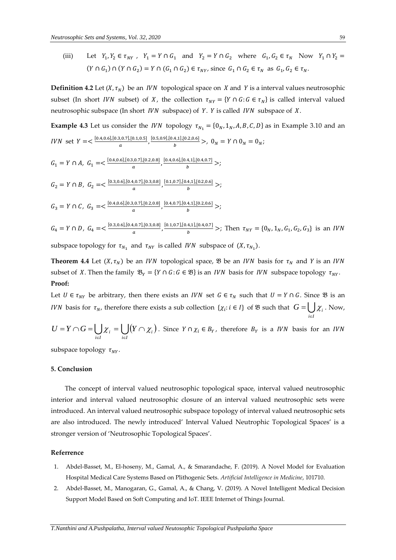(iii) Let  $Y_1, Y_2 \in \tau_{NY}$ ,  $Y_1 = Y \cap G_1$  and  $Y_2 = Y \cap G_2$  where  $G_1, G_2 \in \tau_N$  Now  $Y_1 \cap Y_2 =$  $(Y \cap G_1) \cap (Y \cap G_2) = Y \cap (G_1 \cap G_2) \in \tau_{NY}$ , since  $G_1 \cap G_2 \in \tau_N$  as  $G_1, G_2 \in \tau_N$ .

**Definition 4.2** Let  $(X, \tau_N)$  be an *IVN* topological space on *X* and *Y* is a interval values neutrosophic subset (In short *IVN* subset) of X, the collection  $\tau_{NY} = \{ Y \cap G : G \in \tau_N \}$  is called interval valued neutrosophic subspace (In short  $IVN$  subspace) of Y. Y is called  $IVN$  subspace of X.

**Example 4.3** Let us consider the *IVN* topology  $\tau_{N_1} = \{0_N, 1_N, A, B, C, D\}$  as in Example 3.10 and an *IVN* set  $Y = \frac{[0.4, 0.6], [0.3, 0.7], [0.1, 0.5]}{2}$  $\frac{[0.5,0.9],[0.4,1],[0.2,0.6]}{a}$ ,  $\frac{[0.5,0.9],[0.4,1],[0.2,0.6]}{b}$  $\frac{1}{b}$ ,  $\frac{1}{b}$ ,  $\frac{1}{b}$ ,  $0_N = Y \cap 0_N = 0_N$ ;  $G_1 = Y \cap A$ ,  $G_1 = <\frac{[0.4, 0.6], [0.3, 0.7], [0.2, 0.8]}{q}$  $\frac{[0.2, 0.8]}{a}, \frac{[0.4, 0.6], [0.4, 1], [0.4, 0.7]}{b}$  $\frac{1}{b}$  >;  $G_2 = Y \cap B$ ,  $G_2 = \frac{[0.3, 0.6], [0.4, 0.7], [0.3, 0.8]}{q}$  $\frac{[0.7],[0.3,0.8]}{a}$ ,  $\frac{[0.1,0.7],[0.4,1],[0.2,0.6]}{b}$  $\frac{1}{b}$  >;  $G_3 = Y \cap C, G_3 = <\frac{[0.4, 0.6], [0.3, 0.7], [0.2, 0.8]}{q}$  $\frac{[0.2, 0.8]}{a}$ ,  $\frac{[0.4, 0.7], [0.4, 1], [0.2, 0.6]}{b}$  $\frac{1}{b}$  >;  $G_4 = Y \cap D$ ,  $G_4 = \langle \frac{[0.3, 0.6], [0.4, 0.7], [0.3, 0.8]}{q} \rangle$  $\frac{[0.7],[0.3,0.8]}{a}$ ,  $\frac{[0.1,0.7],[0.4,1],[0.4,0.7]}{b}$  $\frac{\tau_{N,1}[\sigma,\tau,\sigma,\tau]}{b}$  >; Then  $\tau_{NY} = \{0_N, 1_N, G_1, G_2, G_3\}$  is an *IVN* 

subspace topology for  $\tau_{N_1}$  and  $\tau_{NY}$  is called IVN subspace of  $(X, \tau_{N_1})$ .

**Theorem 4.4** Let  $(X, \tau_N)$  be an *IVN* topological space,  $\mathcal{B}$  be an *IVN* basis for  $\tau_N$  and *Y* is an *IVN* subset of X. Then the family  $\mathfrak{B}_Y = \{ Y \cap G : G \in \mathfrak{B} \}$  is an *IVN* basis for *IVN* subspace topology  $\tau_{NY}$ . **Proof:** 

Let  $U \in \tau_{NY}$  be arbitrary, then there exists an *IVN* set  $G \in \tau_N$  such that  $U = Y \cap G$ . Since  $\mathfrak{B}$  is an *IVN* basis for  $\tau_N$ , therefore there exists a sub collection  $\{\chi_i : i \in I\}$  of  $\mathfrak B$  such that  $G = \bigcup_{i \in I}$  $G = \bigcup \chi_i$ . Now,

$$
U = Y \cap G = \bigcup_{i \in I} \chi_i = \bigcup_{i \in I} (Y \cap \chi_i).
$$
 Since  $Y \cap \chi_i \in B_Y$ , therefore  $B_Y$  is a *IVN* basis for an *IVN*

subspace topology  $\tau_{NY}$ .

### **5. Conclusion**

The concept of interval valued neutrosophic topological space, interval valued neutrosophic interior and interval valued neutrosophic closure of an interval valued neutrosophic sets were introduced. An interval valued neutrosophic subspace topology of interval valued neutrosophic sets are also introduced. The newly introduced' Interval Valued Neutrophic Topological Spaces' is a stronger version of 'Neutrosophic Topological Spaces'.

#### **Referrence**

- 1. Abdel-Basset, M., El-hoseny, M., Gamal, A., & Smarandache, F. (2019). A Novel Model for Evaluation Hospital Medical Care Systems Based on Plithogenic Sets. *Artificial Intelligence in Medicine*, 101710.
- 2. Abdel-Basset, M., Manogaran, G., Gamal, A., & Chang, V. (2019). A Novel Intelligent Medical Decision Support Model Based on Soft Computing and IoT. IEEE Internet of Things Journal.

∊